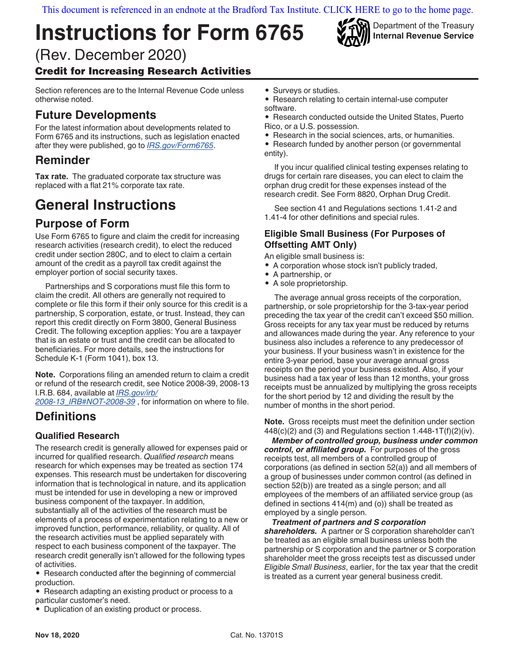[This document is referenced in an endnote at the Bradford Tax Institute. CLICK HERE to go to the home page.](https://www.bradfordtaxinstitute.com)

# **Instructions for Form 6765**

(Rev. December 2020) Credit for Increasing Research Activities

Section references are to the Internal Revenue Code unless otherwise noted.

## **Future Developments**

For the latest information about developments related to Form 6765 and its instructions, such as legislation enacted after they were published, go to *[IRS.gov/Form6765](https://www.IRS.gov/Form6765)*.

## **Reminder**

**Tax rate.** The graduated corporate tax structure was replaced with a flat 21% corporate tax rate.

## **General Instructions**

## **Purpose of Form**

Use Form 6765 to figure and claim the credit for increasing research activities (research credit), to elect the reduced credit under section 280C, and to elect to claim a certain amount of the credit as a payroll tax credit against the employer portion of social security taxes.

Partnerships and S corporations must file this form to claim the credit. All others are generally not required to complete or file this form if their only source for this credit is a partnership, S corporation, estate, or trust. Instead, they can report this credit directly on Form 3800, General Business Credit. The following exception applies: You are a taxpayer that is an estate or trust and the credit can be allocated to beneficiaries. For more details, see the instructions for Schedule K-1 (Form 1041), box 13.

**Note.** Corporations filing an amended return to claim a credit or refund of the research credit, see Notice 2008-39, 2008-13 I.R.B. 684, available at *[IRS.gov/irb/](https://www.irs.gov/irb/2008-13_IRB#NOT-2008-39)*

*[2008-13\\_IRB#NOT-2008-39](https://www.irs.gov/irb/2008-13_IRB#NOT-2008-39)* , for information on where to file.

#### **Definitions**

#### **Qualified Research**

The research credit is generally allowed for expenses paid or incurred for qualified research. *Qualified research* means research for which expenses may be treated as section 174 expenses. This research must be undertaken for discovering information that is technological in nature, and its application must be intended for use in developing a new or improved business component of the taxpayer. In addition, substantially all of the activities of the research must be elements of a process of experimentation relating to a new or improved function, performance, reliability, or quality. All of the research activities must be applied separately with respect to each business component of the taxpayer. The research credit generally isn't allowed for the following types of activities.

• Research conducted after the beginning of commercial production.

• Research adapting an existing product or process to a particular customer's need.

• Duplication of an existing product or process.

- Surveys or studies.
- Research relating to certain internal-use computer software.
- Research conducted outside the United States, Puerto Rico, or a U.S. possession.

Department of the Treasury **Internal Revenue Service**

• Research in the social sciences, arts, or humanities.

• Research funded by another person (or governmental entity).

If you incur qualified clinical testing expenses relating to drugs for certain rare diseases, you can elect to claim the orphan drug credit for these expenses instead of the research credit. See Form 8820, Orphan Drug Credit.

See section 41 and Regulations sections 1.41-2 and 1.41-4 for other definitions and special rules.

#### **Eligible Small Business (For Purposes of Offsetting AMT Only)**

An eligible small business is:

- A corporation whose stock isn't publicly traded,
- A partnership, or
- A sole proprietorship.

The average annual gross receipts of the corporation, partnership, or sole proprietorship for the 3-tax-year period preceding the tax year of the credit can't exceed \$50 million. Gross receipts for any tax year must be reduced by returns and allowances made during the year. Any reference to your business also includes a reference to any predecessor of your business. If your business wasn't in existence for the entire 3-year period, base your average annual gross receipts on the period your business existed. Also, if your business had a tax year of less than 12 months, your gross receipts must be annualized by multiplying the gross receipts for the short period by 12 and dividing the result by the number of months in the short period.

**Note.** Gross receipts must meet the definition under section  $448(c)(2)$  and (3) and Regulations section  $1.448-1T(f)(2)(iv)$ .

*Member of controlled group, business under common control, or affiliated group.* For purposes of the gross receipts test, all members of a controlled group of corporations (as defined in section 52(a)) and all members of a group of businesses under common control (as defined in section 52(b)) are treated as a single person; and all employees of the members of an affiliated service group (as defined in sections 414(m) and (o)) shall be treated as employed by a single person.

#### *Treatment of partners and S corporation*

*shareholders.* A partner or S corporation shareholder can't be treated as an eligible small business unless both the partnership or S corporation and the partner or S corporation shareholder meet the gross receipts test as discussed under *Eligible Small Business*, earlier, for the tax year that the credit is treated as a current year general business credit.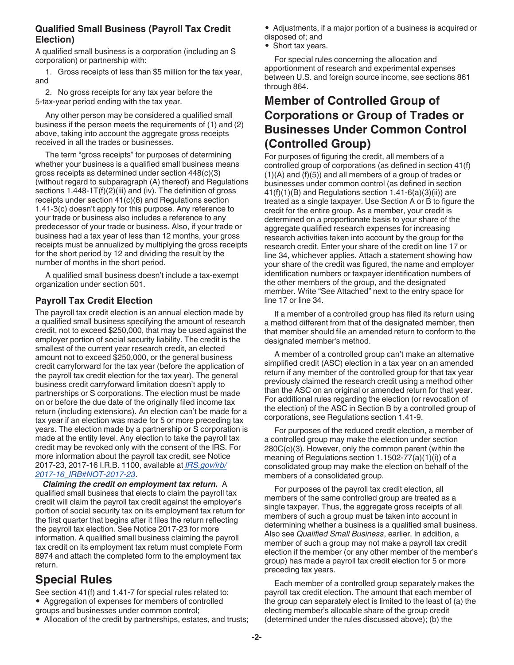#### **Qualified Small Business (Payroll Tax Credit Election)**

A qualified small business is a corporation (including an S corporation) or partnership with:

1. Gross receipts of less than \$5 million for the tax year, and

2. No gross receipts for any tax year before the 5-tax-year period ending with the tax year.

Any other person may be considered a qualified small business if the person meets the requirements of (1) and (2) above, taking into account the aggregate gross receipts received in all the trades or businesses.

The term "gross receipts" for purposes of determining whether your business is a qualified small business means gross receipts as determined under section 448(c)(3) (without regard to subparagraph (A) thereof) and Regulations sections  $1.448 - 1T(f)(2)(iii)$  and (iv). The definition of gross receipts under section 41(c)(6) and Regulations section 1.41-3(c) doesn't apply for this purpose. Any reference to your trade or business also includes a reference to any predecessor of your trade or business. Also, if your trade or business had a tax year of less than 12 months, your gross receipts must be annualized by multiplying the gross receipts for the short period by 12 and dividing the result by the number of months in the short period.

A qualified small business doesn't include a tax-exempt organization under section 501.

#### **Payroll Tax Credit Election**

The payroll tax credit election is an annual election made by a qualified small business specifying the amount of research credit, not to exceed \$250,000, that may be used against the employer portion of social security liability. The credit is the smallest of the current year research credit, an elected amount not to exceed \$250,000, or the general business credit carryforward for the tax year (before the application of the payroll tax credit election for the tax year). The general business credit carryforward limitation doesn't apply to partnerships or S corporations. The election must be made on or before the due date of the originally filed income tax return (including extensions). An election can't be made for a tax year if an election was made for 5 or more preceding tax years. The election made by a partnership or S corporation is made at the entity level. Any election to take the payroll tax credit may be revoked only with the consent of the IRS. For more information about the payroll tax credit, see Notice 2017-23, 2017-16 I.R.B. 1100, available at *[IRS.gov/irb/](https://www.irs.gov/businesses/small-businesses-self-employed/qualified-small-business-payroll-tax-credit-for-increasing-research-activities) [2017-16\\_IRB#NOT-2017-23](https://www.irs.gov/businesses/small-businesses-self-employed/qualified-small-business-payroll-tax-credit-for-increasing-research-activities)*.

*Claiming the credit on employment tax return.* A qualified small business that elects to claim the payroll tax credit will claim the payroll tax credit against the employer's portion of social security tax on its employment tax return for the first quarter that begins after it files the return reflecting the payroll tax election. See Notice 2017-23 for more information. A qualified small business claiming the payroll tax credit on its employment tax return must complete Form 8974 and attach the completed form to the employment tax return.

## **Special Rules**

See section 41(f) and 1.41-7 for special rules related to: • Aggregation of expenses for members of controlled groups and businesses under common control;

• Allocation of the credit by partnerships, estates, and trusts;

• Adjustments, if a major portion of a business is acquired or disposed of; and

• Short tax years.

For special rules concerning the allocation and apportionment of research and experimental expenses between U.S. and foreign source income, see sections 861 through 864.

## **Member of Controlled Group of Corporations or Group of Trades or Businesses Under Common Control (Controlled Group)**

For purposes of figuring the credit, all members of a controlled group of corporations (as defined in section 41(f)  $(1)(A)$  and  $(f)(5)$  and all members of a group of trades or businesses under common control (as defined in section  $41(f)(1)(B)$  and Regulations section  $1.41-f(a)(3)(ii)$  are treated as a single taxpayer. Use Section A or B to figure the credit for the entire group. As a member, your credit is determined on a proportionate basis to your share of the aggregate qualified research expenses for increasing research activities taken into account by the group for the research credit. Enter your share of the credit on line 17 or line 34, whichever applies. Attach a statement showing how your share of the credit was figured, the name and employer identification numbers or taxpayer identification numbers of the other members of the group, and the designated member. Write "See Attached" next to the entry space for line 17 or line 34.

If a member of a controlled group has filed its return using a method different from that of the designated member, then that member should file an amended return to conform to the designated member's method.

A member of a controlled group can't make an alternative simplified credit (ASC) election in a tax year on an amended return if any member of the controlled group for that tax year previously claimed the research credit using a method other than the ASC on an original or amended return for that year. For additional rules regarding the election (or revocation of the election) of the ASC in Section B by a controlled group of corporations, see Regulations section 1.41-9.

For purposes of the reduced credit election, a member of a controlled group may make the election under section 280C(c)(3). However, only the common parent (within the meaning of Regulations section 1.1502-77(a)(1)(i)) of a consolidated group may make the election on behalf of the members of a consolidated group.

For purposes of the payroll tax credit election, all members of the same controlled group are treated as a single taxpayer. Thus, the aggregate gross receipts of all members of such a group must be taken into account in determining whether a business is a qualified small business. Also see *Qualified Small Business*, earlier. In addition, a member of such a group may not make a payroll tax credit election if the member (or any other member of the member's group) has made a payroll tax credit election for 5 or more preceding tax years.

Each member of a controlled group separately makes the payroll tax credit election. The amount that each member of the group can separately elect is limited to the least of (a) the electing member's allocable share of the group credit (determined under the rules discussed above); (b) the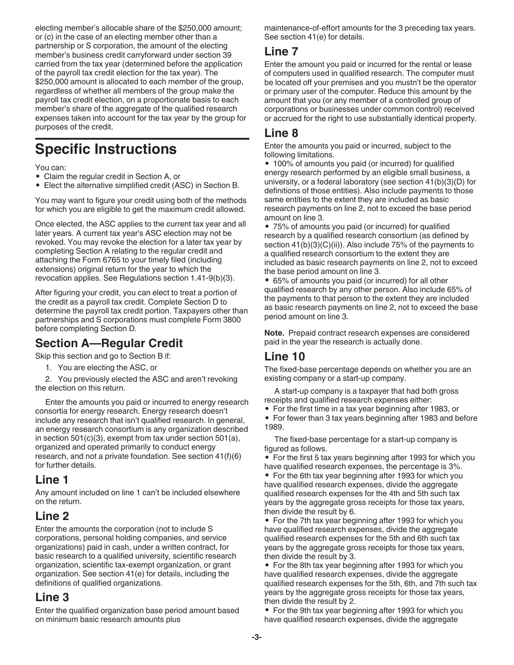electing member's allocable share of the \$250,000 amount; or (c) in the case of an electing member other than a partnership or S corporation, the amount of the electing member's business credit carryforward under section 39 carried from the tax year (determined before the application of the payroll tax credit election for the tax year). The \$250,000 amount is allocated to each member of the group, regardless of whether all members of the group make the payroll tax credit election, on a proportionate basis to each member's share of the aggregate of the qualified research expenses taken into account for the tax year by the group for purposes of the credit.

## **Specific Instructions**

You can:

- Claim the regular credit in Section A, or
- Elect the alternative simplified credit (ASC) in Section B.

You may want to figure your credit using both of the methods for which you are eligible to get the maximum credit allowed.

Once elected, the ASC applies to the current tax year and all later years. A current tax year's ASC election may not be revoked. You may revoke the election for a later tax year by completing Section A relating to the regular credit and attaching the Form 6765 to your timely filed (including extensions) original return for the year to which the revocation applies. See Regulations section 1.41-9(b)(3).

After figuring your credit, you can elect to treat a portion of the credit as a payroll tax credit. Complete Section D to determine the payroll tax credit portion. Taxpayers other than partnerships and S corporations must complete Form 3800 before completing Section D.

#### **Section A—Regular Credit**

Skip this section and go to Section B if:

1. You are electing the ASC, or

2. You previously elected the ASC and aren't revoking the election on this return.

Enter the amounts you paid or incurred to energy research consortia for energy research. Energy research doesn't include any research that isn't qualified research. In general, an energy research consortium is any organization described in section 501(c)(3), exempt from tax under section 501(a), organized and operated primarily to conduct energy research, and not a private foundation. See section 41(f)(6) for further details.

#### **Line 1**

Any amount included on line 1 can't be included elsewhere on the return.

### **Line 2**

Enter the amounts the corporation (not to include S corporations, personal holding companies, and service organizations) paid in cash, under a written contract, for basic research to a qualified university, scientific research organization, scientific tax-exempt organization, or grant organization. See section 41(e) for details, including the definitions of qualified organizations.

#### **Line 3**

Enter the qualified organization base period amount based on minimum basic research amounts plus

maintenance-of-effort amounts for the 3 preceding tax years. See section 41(e) for details.

#### **Line 7**

Enter the amount you paid or incurred for the rental or lease of computers used in qualified research. The computer must be located off your premises and you mustn't be the operator or primary user of the computer. Reduce this amount by the amount that you (or any member of a controlled group of corporations or businesses under common control) received or accrued for the right to use substantially identical property.

## **Line 8**

Enter the amounts you paid or incurred, subject to the following limitations.

• 100% of amounts you paid (or incurred) for qualified energy research performed by an eligible small business, a university, or a federal laboratory (see section 41(b)(3)(D) for definitions of those entities). Also include payments to those same entities to the extent they are included as basic research payments on line 2, not to exceed the base period amount on line 3.

• 75% of amounts you paid (or incurred) for qualified research by a qualified research consortium (as defined by section  $41(b)(3)(C)(ii)$ . Also include 75% of the payments to a qualified research consortium to the extent they are included as basic research payments on line 2, not to exceed the base period amount on line 3.

• 65% of amounts you paid (or incurred) for all other qualified research by any other person. Also include 65% of the payments to that person to the extent they are included as basic research payments on line 2, not to exceed the base period amount on line 3.

**Note.** Prepaid contract research expenses are considered paid in the year the research is actually done.

#### **Line 10**

The fixed-base percentage depends on whether you are an existing company or a start-up company.

A start-up company is a taxpayer that had both gross receipts and qualified research expenses either:

• For the first time in a tax year beginning after 1983, or

• For fewer than 3 tax years beginning after 1983 and before 1989.

The fixed-base percentage for a start-up company is figured as follows.

• For the first 5 tax years beginning after 1993 for which you have qualified research expenses, the percentage is 3%.

• For the 6th tax year beginning after 1993 for which you have qualified research expenses, divide the aggregate qualified research expenses for the 4th and 5th such tax years by the aggregate gross receipts for those tax years, then divide the result by 6.

• For the 7th tax year beginning after 1993 for which you have qualified research expenses, divide the aggregate qualified research expenses for the 5th and 6th such tax years by the aggregate gross receipts for those tax years, then divide the result by 3.

• For the 8th tax year beginning after 1993 for which you have qualified research expenses, divide the aggregate qualified research expenses for the 5th, 6th, and 7th such tax years by the aggregate gross receipts for those tax years, then divide the result by 2.

• For the 9th tax year beginning after 1993 for which you have qualified research expenses, divide the aggregate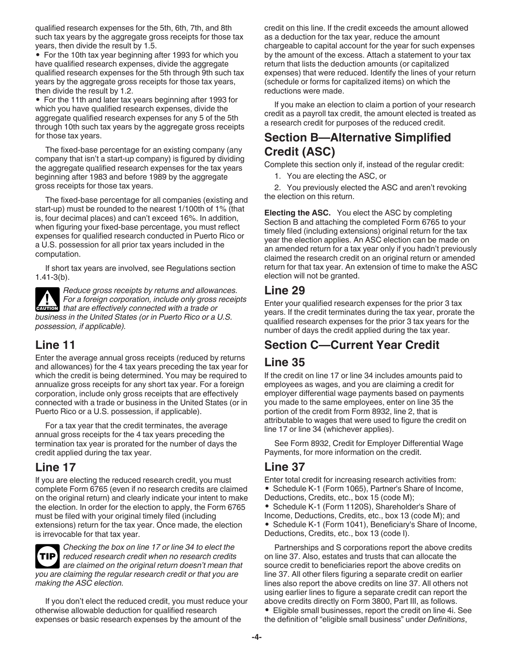qualified research expenses for the 5th, 6th, 7th, and 8th such tax years by the aggregate gross receipts for those tax years, then divide the result by 1.5.

• For the 10th tax year beginning after 1993 for which you have qualified research expenses, divide the aggregate qualified research expenses for the 5th through 9th such tax years by the aggregate gross receipts for those tax years, then divide the result by 1.2.

• For the 11th and later tax years beginning after 1993 for which you have qualified research expenses, divide the aggregate qualified research expenses for any 5 of the 5th through 10th such tax years by the aggregate gross receipts for those tax years.

The fixed-base percentage for an existing company (any company that isn't a start-up company) is figured by dividing the aggregate qualified research expenses for the tax years beginning after 1983 and before 1989 by the aggregate gross receipts for those tax years.

The fixed-base percentage for all companies (existing and start-up) must be rounded to the nearest 1/100th of 1% (that is, four decimal places) and can't exceed 16%. In addition, when figuring your fixed-base percentage, you must reflect expenses for qualified research conducted in Puerto Rico or a U.S. possession for all prior tax years included in the computation.

If short tax years are involved, see Regulations section 1.41-3(b).

*Reduce gross receipts by returns and allowances. For a foreign corporation, include only gross receipts that are effectively connected with a trade or* $\theta$ *business in the United States (or in Puerto Rico or a U.S. possession, if applicable).*

### **Line 11**

Enter the average annual gross receipts (reduced by returns and allowances) for the 4 tax years preceding the tax year for which the credit is being determined. You may be required to annualize gross receipts for any short tax year. For a foreign corporation, include only gross receipts that are effectively connected with a trade or business in the United States (or in Puerto Rico or a U.S. possession, if applicable).

For a tax year that the credit terminates, the average annual gross receipts for the 4 tax years preceding the termination tax year is prorated for the number of days the credit applied during the tax year.

### **Line 17**

If you are electing the reduced research credit, you must complete Form 6765 (even if no research credits are claimed on the original return) and clearly indicate your intent to make the election. In order for the election to apply, the Form 6765 must be filed with your original timely filed (including extensions) return for the tax year. Once made, the election is irrevocable for that tax year.



*Checking the box on line 17 or line 34 to elect the reduced research credit when no research credits*  **TIP** *are claimed on the original return doesn't mean that you are claiming the regular research credit or that you are making the ASC election.*

If you don't elect the reduced credit, you must reduce your otherwise allowable deduction for qualified research expenses or basic research expenses by the amount of the

credit on this line. If the credit exceeds the amount allowed as a deduction for the tax year, reduce the amount chargeable to capital account for the year for such expenses by the amount of the excess. Attach a statement to your tax return that lists the deduction amounts (or capitalized expenses) that were reduced. Identify the lines of your return (schedule or forms for capitalized items) on which the reductions were made.

If you make an election to claim a portion of your research credit as a payroll tax credit, the amount elected is treated as a research credit for purposes of the reduced credit.

## **Section B—Alternative Simplified Credit (ASC)**

Complete this section only if, instead of the regular credit:

1. You are electing the ASC, or

2. You previously elected the ASC and aren't revoking the election on this return.

**Electing the ASC.** You elect the ASC by completing Section B and attaching the completed Form 6765 to your timely filed (including extensions) original return for the tax year the election applies. An ASC election can be made on an amended return for a tax year only if you hadn't previously claimed the research credit on an original return or amended return for that tax year. An extension of time to make the ASC election will not be granted.

#### **Line 29**

Enter your qualified research expenses for the prior 3 tax years. If the credit terminates during the tax year, prorate the qualified research expenses for the prior 3 tax years for the number of days the credit applied during the tax year.

## **Section C—Current Year Credit**

### **Line 35**

If the credit on line 17 or line 34 includes amounts paid to employees as wages, and you are claiming a credit for employer differential wage payments based on payments you made to the same employees, enter on line 35 the portion of the credit from Form 8932, line 2, that is attributable to wages that were used to figure the credit on line 17 or line 34 (whichever applies).

See Form 8932, Credit for Employer Differential Wage Payments, for more information on the credit.

### **Line 37**

Enter total credit for increasing research activities from: • Schedule K-1 (Form 1065), Partner's Share of Income, Deductions, Credits, etc., box 15 (code M); • Schedule K-1 (Form 1120S), Shareholder's Share of Income, Deductions, Credits, etc., box 13 (code M); and • Schedule K-1 (Form 1041), Beneficiary's Share of Income, Deductions, Credits, etc., box 13 (code I).

Partnerships and S corporations report the above credits on line 37. Also, estates and trusts that can allocate the source credit to beneficiaries report the above credits on line 37. All other filers figuring a separate credit on earlier lines also report the above credits on line 37. All others not using earlier lines to figure a separate credit can report the above credits directly on Form 3800, Part III, as follows. • Eligible small businesses, report the credit on line 4i. See the definition of "eligible small business" under *Definitions*,